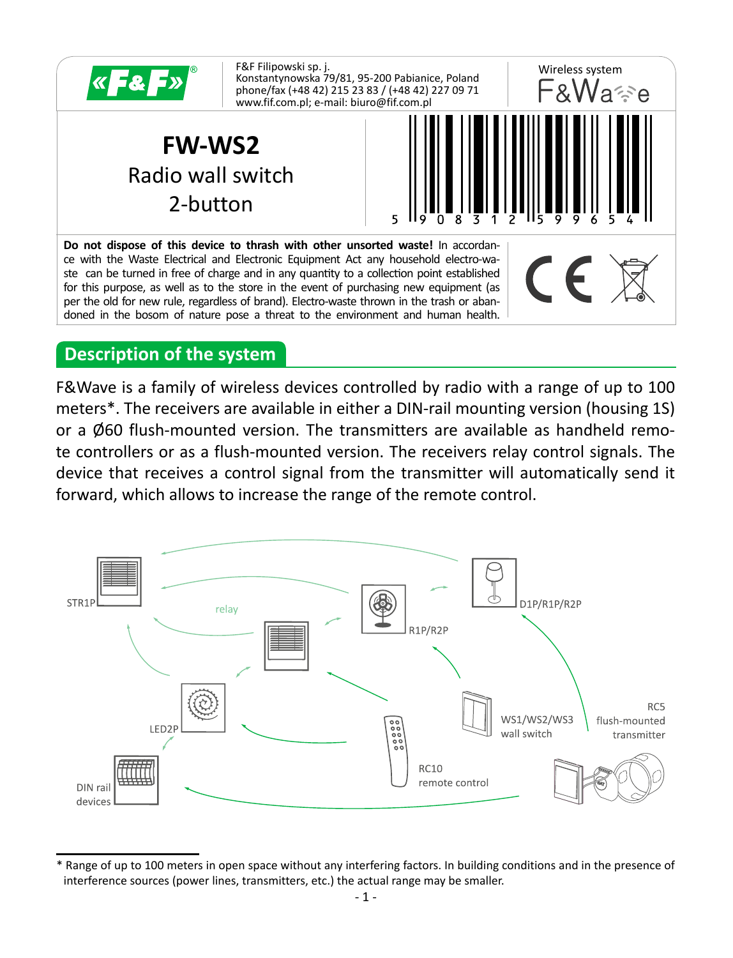

#### **Description of the system**

F&Wave is a family of wireless devices controlled by radio with a range of up to 100 meters\*. The receivers are available in either a DIN-rail mounting version (housing 1S) or a Ø60 flush-mounted version. The transmitters are available as handheld remote controllers or as a flush-mounted version. The receivers relay control signals. The device that receives a control signal from the transmitter will automatically send it forward, which allows to increase the range of the remote control.



Range of up to 100 meters in open space without any interfering factors. In building conditions and in the presence of interference sources (power lines, transmitters, etc.) the actual range may be smaller.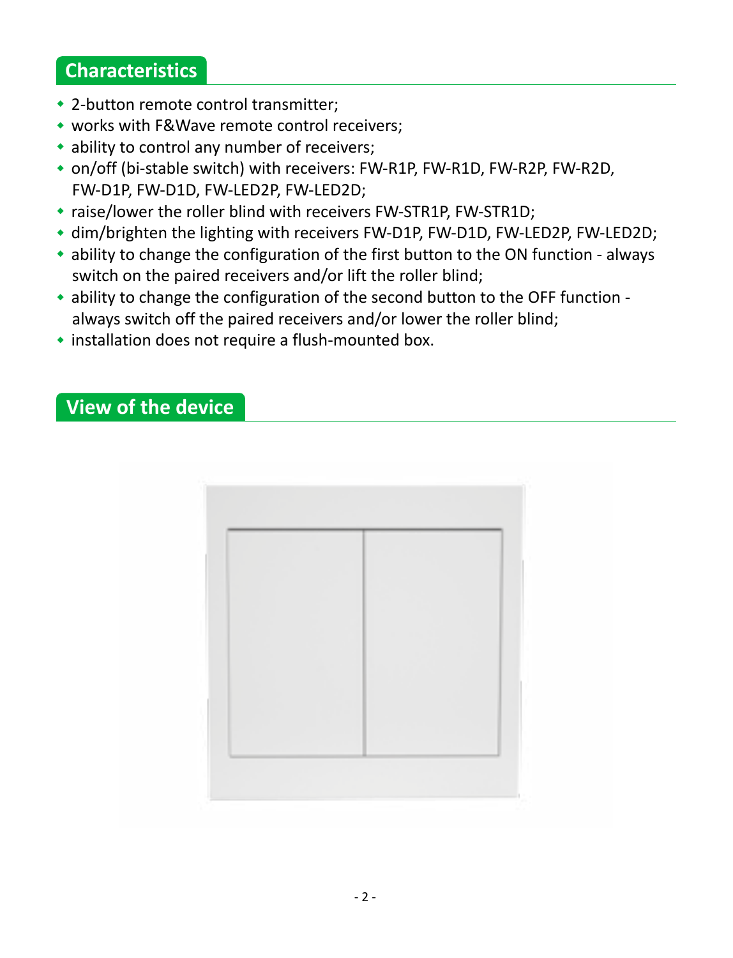## **Characteristics**

- 2-button remote control transmitter;
- works with F&Wave remote control receivers;
- ability to control any number of receivers;
- on/off (bi-stable switch) with receivers: FW-R1P, FW-R1D, FW-R2P, FW-R2D, FW-D1P, FW-D1D, FW-LED2P, FW-LED2D;
- raise/lower the roller blind with receivers FW-STR1P, FW-STR1D;
- dim/brighten the lighting with receivers FW-D1P, FW-D1D, FW-LED2P, FW-LED2D;
- ability to change the configuration of the first button to the ON function always switch on the paired receivers and/or lift the roller blind;
- ability to change the configuration of the second button to the OFF function always switch off the paired receivers and/or lower the roller blind;
- installation does not require a flush-mounted box.

## **View of the device**

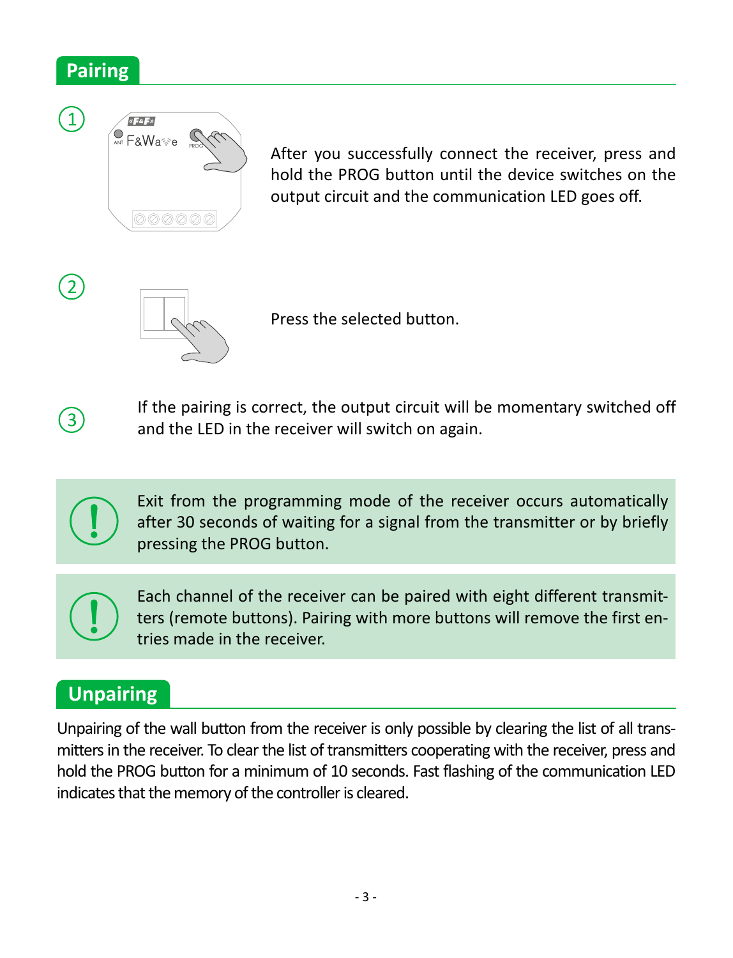## **Pairing**



After you successfully connect the receiver, press and hold the PROG button until the device switches on the output circuit and the communication LED goes off.



Press the selected button.



 $\Omega$ 

If the pairing is correct, the output circuit will be momentary switched off and the LED in the receiver will switch on again.



Exit from the programming mode of the receiver occurs automatically after 30 seconds of waiting for a signal from the transmitter or by briefly pressing the PROG button.



Each channel of the receiver can be paired with eight different transmitters (remote buttons). Pairing with more buttons will remove the first entries made in the receiver.

# **Unpairing**

Unpairing of the wall button from the receiver is only possible by clearing the list of all transmitters in the receiver. To clear the list of transmitters cooperating with the receiver, press and hold the PROG button for a minimum of 10 seconds. Fast flashing of the communication LED indicates that the memory of the controller is cleared.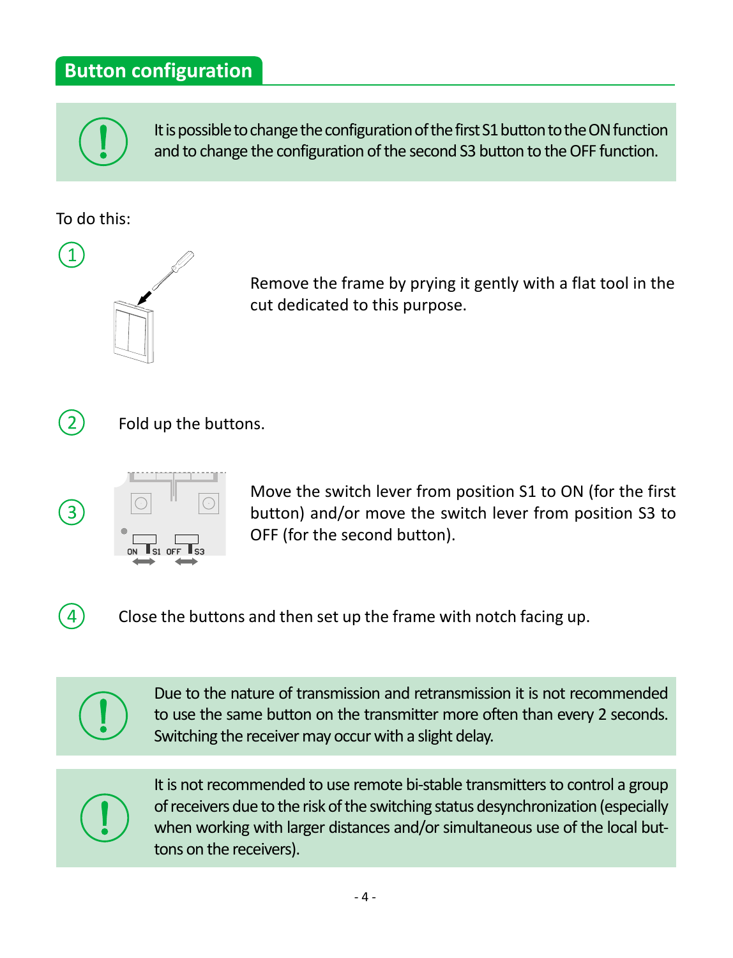## **Button configuration**

It is possible to change the configuration of the first S1 button to the ON function and to change the configuration of the second S3 button to the OFF function.

To do this:

 $\mathbf{\hat{1}}$ 



Remove the frame by prying it gently with a flat tool in the cut dedicated to this purpose.



 $\overline{4}$ 

Fold up the buttons.



Move the switch lever from position S1 to ON (for the first button) and/or move the switch lever from position S3 to OFF (for the second button).

Close the buttons and then set up the frame with notch facing up.



Due to the nature of transmission and retransmission it is not recommended to use the same button on the transmitter more often than every 2 seconds. Switching the receiver may occur with a slight delay.



It is not recommended to use remote bi-stable transmitters to control a group of receivers due to the risk of the switching status desynchronization (especially when working with larger distances and/or simultaneous use of the local buttons on the receivers).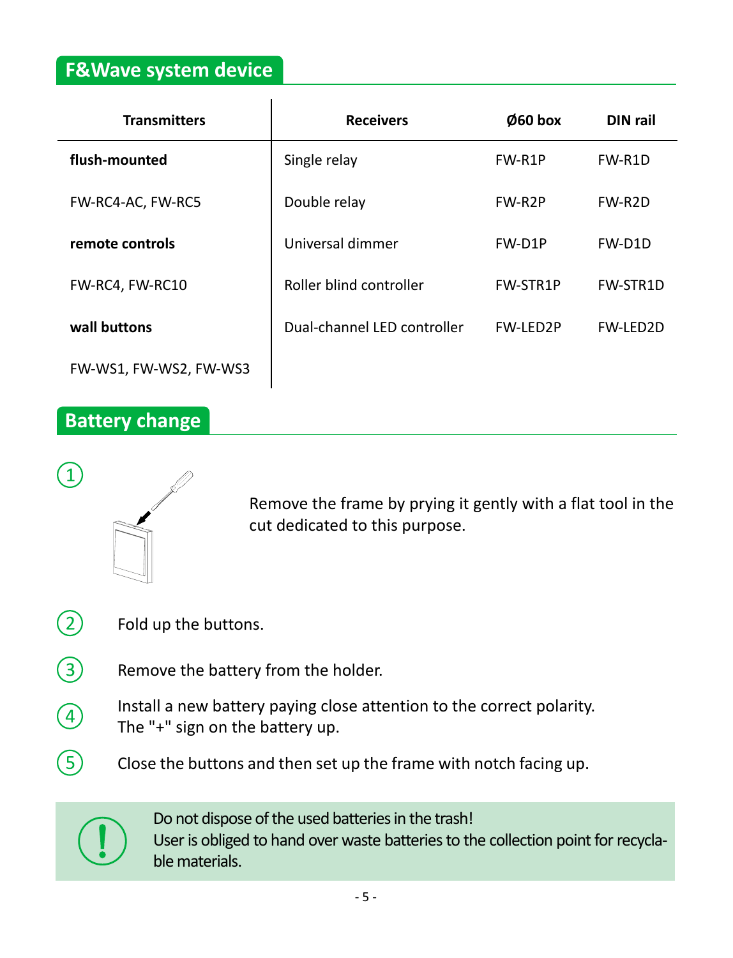### **F&Wave system device**

| <b>Transmitters</b>    | <b>Receivers</b>            | Ø60 box         | DIN rail        |
|------------------------|-----------------------------|-----------------|-----------------|
| flush-mounted          | Single relay                | FW-R1P          | FW-R1D          |
| FW-RC4-AC, FW-RC5      | Double relay                | FW-R2P          | FW-R2D          |
| remote controls        | Universal dimmer            | FW-D1P          | FW-D1D          |
| FW-RC4. FW-RC10        | Roller blind controller     | <b>FW-STR1P</b> | FW-STR1D        |
| wall buttons           | Dual-channel LED controller | <b>FW-IFD2P</b> | <b>FW-LED2D</b> |
| FW-WS1. FW-WS2. FW-WS3 |                             |                 |                 |

## **Battery change**

1



Remove the frame by prying it gently with a flat tool in the cut dedicated to this purpose.

- $\Omega$ Fold up the buttons.
- 3 Remove the battery from the holder.
- Install a new battery paying close attention to the correct polarity.  $\boxed{4}$ The "+" sign on the battery up.
	- Close the buttons and then set up the frame with notch facing up.



G)

Do not dispose of the used batteries in the trash! User is obliged to hand over waste batteries to the collection point for recyclable materials.